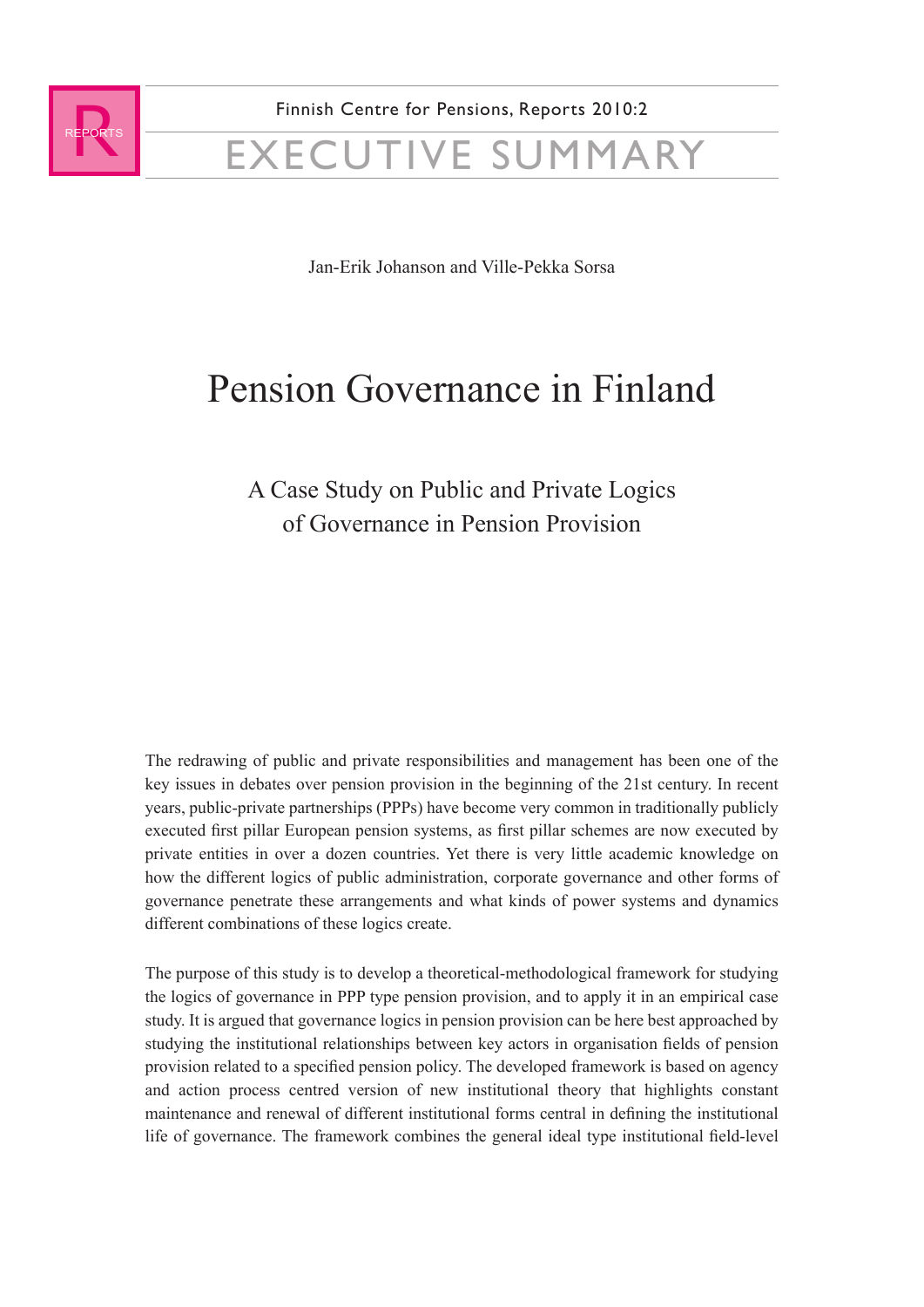

Jan-Erik Johanson and Ville-Pekka Sorsa

## Pension Governance in Finland

## A Case Study on Public and Private Logics of Governance in Pension Provision

The redrawing of public and private responsibilities and management has been one of the key issues in debates over pension provision in the beginning of the 21st century. In recent years, public-private partnerships (PPPs) have become very common in traditionally publicly executed first pillar European pension systems, as first pillar schemes are now executed by private entities in over a dozen countries. Yet there is very little academic knowledge on how the different logics of public administration, corporate governance and other forms of governance penetrate these arrangements and what kinds of power systems and dynamics different combinations of these logics create.

The purpose of this study is to develop a theoretical-methodological framework for studying the logics of governance in PPP type pension provision, and to apply it in an empirical case study. It is argued that governance logics in pension provision can be here best approached by studying the institutional relationships between key actors in organisation fields of pension provision related to a specified pension policy. The developed framework is based on agency and action process centred version of new institutional theory that highlights constant maintenance and renewal of different institutional forms central in defining the institutional life of governance. The framework combines the general ideal type institutional field-level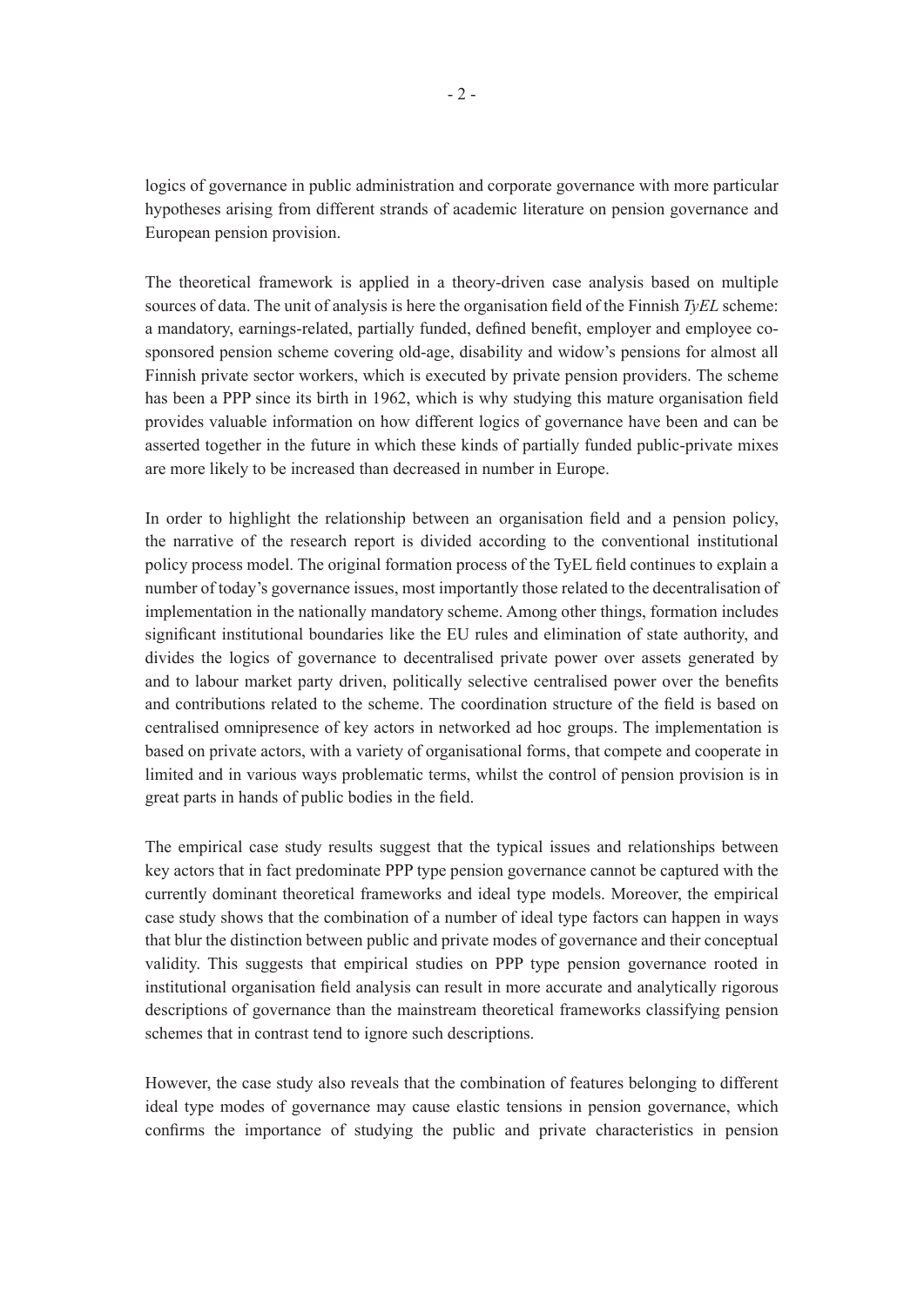logics of governance in public administration and corporate governance with more particular hypotheses arising from different strands of academic literature on pension governance and European pension provision.

The theoretical framework is applied in a theory-driven case analysis based on multiple sources of data. The unit of analysis is here the organisation field of the Finnish *TyEL* scheme: a mandatory, earnings-related, partially funded, defined benefit, employer and employee cosponsored pension scheme covering old-age, disability and widow's pensions for almost all Finnish private sector workers, which is executed by private pension providers. The scheme has been a PPP since its birth in 1962, which is why studying this mature organisation field provides valuable information on how different logics of governance have been and can be asserted together in the future in which these kinds of partially funded public-private mixes are more likely to be increased than decreased in number in Europe.

In order to highlight the relationship between an organisation field and a pension policy, the narrative of the research report is divided according to the conventional institutional policy process model. The original formation process of the TyEL field continues to explain a number of today's governance issues, most importantly those related to the decentralisation of implementation in the nationally mandatory scheme. Among other things, formation includes significant institutional boundaries like the EU rules and elimination of state authority, and divides the logics of governance to decentralised private power over assets generated by and to labour market party driven, politically selective centralised power over the benefits and contributions related to the scheme. The coordination structure of the field is based on centralised omnipresence of key actors in networked ad hoc groups. The implementation is based on private actors, with a variety of organisational forms, that compete and cooperate in limited and in various ways problematic terms, whilst the control of pension provision is in great parts in hands of public bodies in the field.

The empirical case study results suggest that the typical issues and relationships between key actors that in fact predominate PPP type pension governance cannot be captured with the currently dominant theoretical frameworks and ideal type models. Moreover, the empirical case study shows that the combination of a number of ideal type factors can happen in ways that blur the distinction between public and private modes of governance and their conceptual validity. This suggests that empirical studies on PPP type pension governance rooted in institutional organisation field analysis can result in more accurate and analytically rigorous descriptions of governance than the mainstream theoretical frameworks classifying pension schemes that in contrast tend to ignore such descriptions.

However, the case study also reveals that the combination of features belonging to different ideal type modes of governance may cause elastic tensions in pension governance, which confirms the importance of studying the public and private characteristics in pension